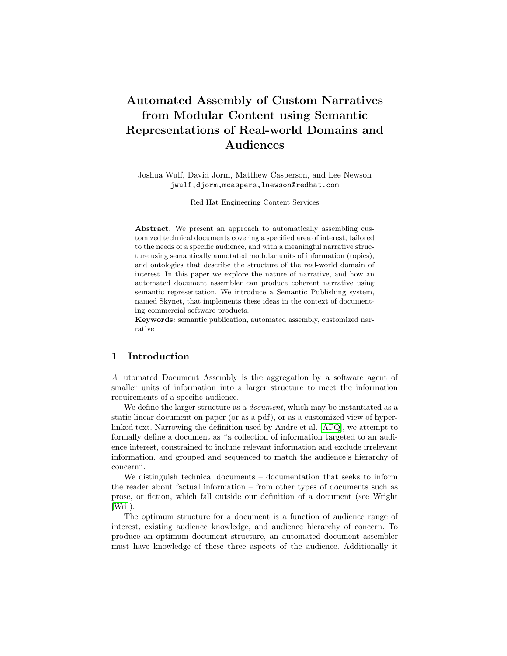# Automated Assembly of Custom Narratives from Modular Content using Semantic Representations of Real-world Domains and Audiences

Joshua Wulf, David Jorm, Matthew Casperson, and Lee Newson jwulf,djorm,mcaspers,lnewson@redhat.com

Red Hat Engineering Content Services

Abstract. We present an approach to automatically assembling customized technical documents covering a specified area of interest, tailored to the needs of a specific audience, and with a meaningful narrative structure using semantically annotated modular units of information (topics), and ontologies that describe the structure of the real-world domain of interest. In this paper we explore the nature of narrative, and how an automated document assembler can produce coherent narrative using semantic representation. We introduce a Semantic Publishing system, named Skynet, that implements these ideas in the context of documenting commercial software products.

Keywords: semantic publication, automated assembly, customized narrative

### 1 Introduction

A utomated Document Assembly is the aggregation by a software agent of smaller units of information into a larger structure to meet the information requirements of a specific audience.

We define the larger structure as a *document*, which may be instantiated as a static linear document on paper (or as a pdf), or as a customized view of hyperlinked text. Narrowing the definition used by Andre et al. [\[AFQ\]](#page-11-0), we attempt to formally define a document as "a collection of information targeted to an audience interest, constrained to include relevant information and exclude irrelevant information, and grouped and sequenced to match the audience's hierarchy of concern".

We distinguish technical documents – documentation that seeks to inform the reader about factual information – from other types of documents such as prose, or fiction, which fall outside our definition of a document (see Wright [\[Wri\]](#page-12-0)).

The optimum structure for a document is a function of audience range of interest, existing audience knowledge, and audience hierarchy of concern. To produce an optimum document structure, an automated document assembler must have knowledge of these three aspects of the audience. Additionally it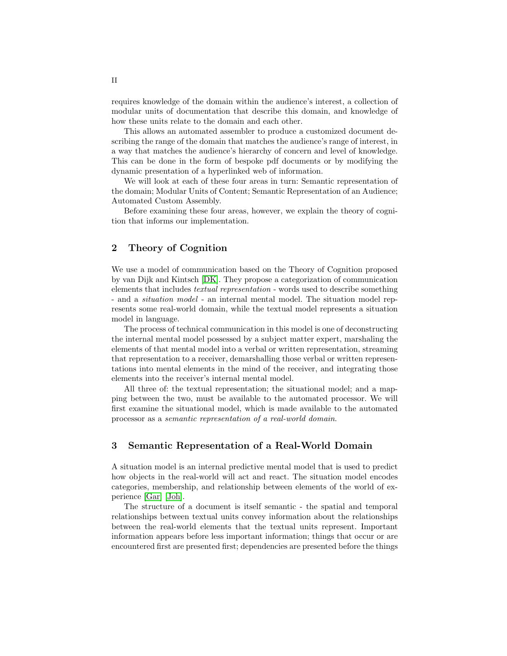requires knowledge of the domain within the audience's interest, a collection of modular units of documentation that describe this domain, and knowledge of how these units relate to the domain and each other.

This allows an automated assembler to produce a customized document describing the range of the domain that matches the audience's range of interest, in a way that matches the audience's hierarchy of concern and level of knowledge. This can be done in the form of bespoke pdf documents or by modifying the dynamic presentation of a hyperlinked web of information.

We will look at each of these four areas in turn: Semantic representation of the domain; Modular Units of Content; Semantic Representation of an Audience; Automated Custom Assembly.

Before examining these four areas, however, we explain the theory of cognition that informs our implementation.

# 2 Theory of Cognition

We use a model of communication based on the Theory of Cognition proposed by van Dijk and Kintsch [\[DK\]](#page-11-1). They propose a categorization of communication elements that includes textual representation - words used to describe something - and a situation model - an internal mental model. The situation model represents some real-world domain, while the textual model represents a situation model in language.

The process of technical communication in this model is one of deconstructing the internal mental model possessed by a subject matter expert, marshaling the elements of that mental model into a verbal or written representation, streaming that representation to a receiver, demarshalling those verbal or written representations into mental elements in the mind of the receiver, and integrating those elements into the receiver's internal mental model.

All three of: the textual representation; the situational model; and a mapping between the two, must be available to the automated processor. We will first examine the situational model, which is made available to the automated processor as a semantic representation of a real-world domain.

#### 3 Semantic Representation of a Real-World Domain

A situation model is an internal predictive mental model that is used to predict how objects in the real-world will act and react. The situation model encodes categories, membership, and relationship between elements of the world of experience [\[Gar\]](#page-11-2) [\[Joh\]](#page-11-3).

The structure of a document is itself semantic - the spatial and temporal relationships between textual units convey information about the relationships between the real-world elements that the textual units represent. Important information appears before less important information; things that occur or are encountered first are presented first; dependencies are presented before the things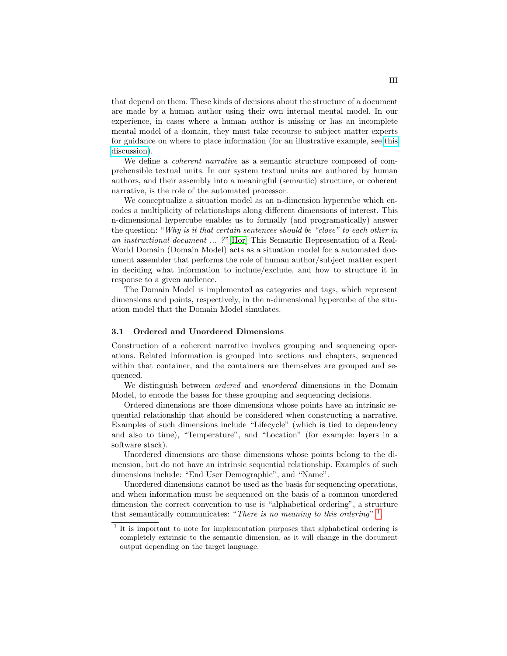that depend on them. These kinds of decisions about the structure of a document are made by a human author using their own internal mental model. In our experience, in cases where a human author is missing or has an incomplete mental model of a domain, they must take recourse to subject matter experts for guidance on where to place information (for an illustrative example, see [this](https://bugzilla.redhat.com/show_bug.cgi?id=704021#c3) [discussion\)](https://bugzilla.redhat.com/show_bug.cgi?id=704021#c3).

We define a *coherent narrative* as a semantic structure composed of comprehensible textual units. In our system textual units are authored by human authors, and their assembly into a meaningful (semantic) structure, or coherent narrative, is the role of the automated processor.

We conceptualize a situation model as an n-dimension hypercube which encodes a multiplicity of relationships along different dimensions of interest. This n-dimensional hypercube enables us to formally (and programatically) answer the question: "Why is it that certain sentences should be "close" to each other in an instructional document ... ?" [\[Hor\]](#page-11-4) This Semantic Representation of a Real-World Domain (Domain Model) acts as a situation model for a automated document assembler that performs the role of human author/subject matter expert in deciding what information to include/exclude, and how to structure it in response to a given audience.

The Domain Model is implemented as categories and tags, which represent dimensions and points, respectively, in the n-dimensional hypercube of the situation model that the Domain Model simulates.

#### 3.1 Ordered and Unordered Dimensions

Construction of a coherent narrative involves grouping and sequencing operations. Related information is grouped into sections and chapters, sequenced within that container, and the containers are themselves are grouped and sequenced.

We distinguish between ordered and unordered dimensions in the Domain Model, to encode the bases for these grouping and sequencing decisions.

Ordered dimensions are those dimensions whose points have an intrinsic sequential relationship that should be considered when constructing a narrative. Examples of such dimensions include "Lifecycle" (which is tied to dependency and also to time), "Temperature", and "Location" (for example: layers in a software stack).

Unordered dimensions are those dimensions whose points belong to the dimension, but do not have an intrinsic sequential relationship. Examples of such dimensions include: "End User Demographic", and "Name".

Unordered dimensions cannot be used as the basis for sequencing operations, and when information must be sequenced on the basis of a common unordered dimension the correct convention to use is "alphabetical ordering", a structure that semantically communicates: "There is no meaning to this ordering"  $<sup>1</sup>$  $<sup>1</sup>$  $<sup>1</sup>$ .</sup>

<span id="page-2-0"></span><sup>&</sup>lt;sup>1</sup> It is important to note for implementation purposes that alphabetical ordering is completely extrinsic to the semantic dimension, as it will change in the document output depending on the target language.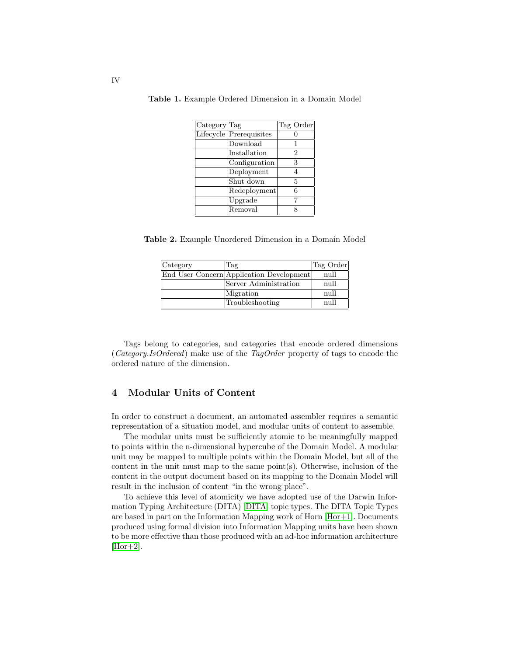| Category Tag |                         | Tag Order |
|--------------|-------------------------|-----------|
|              | Lifecycle Prerequisites |           |
|              | Download                |           |
|              | Installation            | 2         |
|              | Configuration           | 3         |
|              | Deployment              | 4         |
|              | Shut down               | 5         |
|              | Redeployment            | 6         |
|              | $\overline{U}$ pgrade   |           |
|              | Removal                 |           |

Table 1. Example Ordered Dimension in a Domain Model

Table 2. Example Unordered Dimension in a Domain Model

| Category | . Tag                                    | Tag Order |
|----------|------------------------------------------|-----------|
|          | End User Concern Application Development | null      |
|          | Server Administration                    | null      |
|          | Migration                                | null      |
|          | Troubleshooting                          | null      |

Tags belong to categories, and categories that encode ordered dimensions (Category.IsOrdered) make use of the TagOrder property of tags to encode the ordered nature of the dimension.

## 4 Modular Units of Content

In order to construct a document, an automated assembler requires a semantic representation of a situation model, and modular units of content to assemble.

The modular units must be sufficiently atomic to be meaningfully mapped to points within the n-dimensional hypercube of the Domain Model. A modular unit may be mapped to multiple points within the Domain Model, but all of the content in the unit must map to the same point $(s)$ . Otherwise, inclusion of the content in the output document based on its mapping to the Domain Model will result in the inclusion of content "in the wrong place".

To achieve this level of atomicity we have adopted use of the Darwin Information Typing Architecture (DITA) [\[DITA\]](#page-11-5) topic types. The DITA Topic Types are based in part on the Information Mapping work of Horn [\[Hor+1\]](#page-11-6). Documents produced using formal division into Information Mapping units have been shown to be more effective than those produced with an ad-hoc information architecture  $[Hor+2]$ .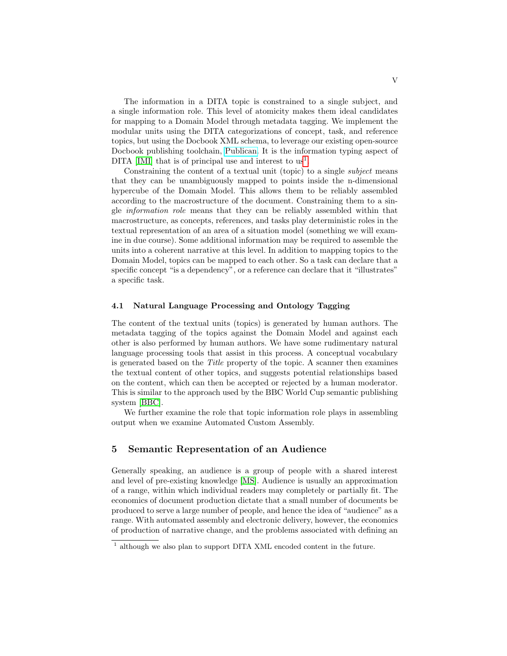The information in a DITA topic is constrained to a single subject, and a single information role. This level of atomicity makes them ideal candidates for mapping to a Domain Model through metadata tagging. We implement the modular units using the DITA categorizations of concept, task, and reference topics, but using the Docbook XML schema, to leverage our existing open-source Docbook publishing toolchain, [Publican.](https://fedorahosted.org/publican/) It is the information typing aspect of DITA  $\text{[IMI]}$  $\text{[IMI]}$  $\text{[IMI]}$  that is of principal use and interest to us<sup>[1](#page-4-0)</sup>.

Constraining the content of a textual unit (topic) to a single *subject* means that they can be unambiguously mapped to points inside the n-dimensional hypercube of the Domain Model. This allows them to be reliably assembled according to the macrostructure of the document. Constraining them to a single information role means that they can be reliably assembled within that macrostructure, as concepts, references, and tasks play deterministic roles in the textual representation of an area of a situation model (something we will examine in due course). Some additional information may be required to assemble the units into a coherent narrative at this level. In addition to mapping topics to the Domain Model, topics can be mapped to each other. So a task can declare that a specific concept "is a dependency", or a reference can declare that it "illustrates" a specific task.

#### 4.1 Natural Language Processing and Ontology Tagging

The content of the textual units (topics) is generated by human authors. The metadata tagging of the topics against the Domain Model and against each other is also performed by human authors. We have some rudimentary natural language processing tools that assist in this process. A conceptual vocabulary is generated based on the Title property of the topic. A scanner then examines the textual content of other topics, and suggests potential relationships based on the content, which can then be accepted or rejected by a human moderator. This is similar to the approach used by the BBC World Cup semantic publishing system [\[BBC\]](#page-11-9).

We further examine the role that topic information role plays in assembling output when we examine Automated Custom Assembly.

### 5 Semantic Representation of an Audience

Generally speaking, an audience is a group of people with a shared interest and level of pre-existing knowledge [\[MS\]](#page-11-10). Audience is usually an approximation of a range, within which individual readers may completely or partially fit. The economics of document production dictate that a small number of documents be produced to serve a large number of people, and hence the idea of "audience" as a range. With automated assembly and electronic delivery, however, the economics of production of narrative change, and the problems associated with defining an

<span id="page-4-0"></span><sup>&</sup>lt;sup>1</sup> although we also plan to support DITA XML encoded content in the future.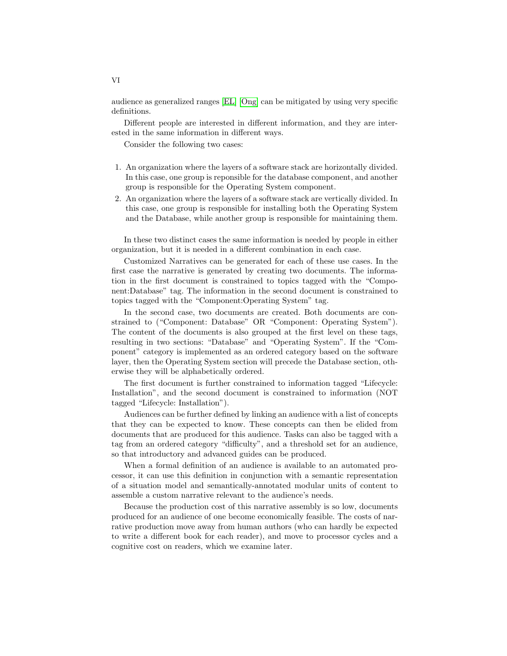audience as generalized ranges [\[EL\]](#page-11-11) [\[Ong\]](#page-12-1) can be mitigated by using very specific definitions.

Different people are interested in different information, and they are interested in the same information in different ways.

Consider the following two cases:

- 1. An organization where the layers of a software stack are horizontally divided. In this case, one group is reponsible for the database component, and another group is responsible for the Operating System component.
- 2. An organization where the layers of a software stack are vertically divided. In this case, one group is responsible for installing both the Operating System and the Database, while another group is responsible for maintaining them.

In these two distinct cases the same information is needed by people in either organization, but it is needed in a different combination in each case.

Customized Narratives can be generated for each of these use cases. In the first case the narrative is generated by creating two documents. The information in the first document is constrained to topics tagged with the "Component:Database" tag. The information in the second document is constrained to topics tagged with the "Component:Operating System" tag.

In the second case, two documents are created. Both documents are constrained to ("Component: Database" OR "Component: Operating System"). The content of the documents is also grouped at the first level on these tags, resulting in two sections: "Database" and "Operating System". If the "Component" category is implemented as an ordered category based on the software layer, then the Operating System section will precede the Database section, otherwise they will be alphabetically ordered.

The first document is further constrained to information tagged "Lifecycle: Installation", and the second document is constrained to information (NOT tagged "Lifecycle: Installation").

Audiences can be further defined by linking an audience with a list of concepts that they can be expected to know. These concepts can then be elided from documents that are produced for this audience. Tasks can also be tagged with a tag from an ordered category "difficulty", and a threshold set for an audience, so that introductory and advanced guides can be produced.

When a formal definition of an audience is available to an automated processor, it can use this definition in conjunction with a semantic representation of a situation model and semantically-annotated modular units of content to assemble a custom narrative relevant to the audience's needs.

Because the production cost of this narrative assembly is so low, documents produced for an audience of one become economically feasible. The costs of narrative production move away from human authors (who can hardly be expected to write a different book for each reader), and move to processor cycles and a cognitive cost on readers, which we examine later.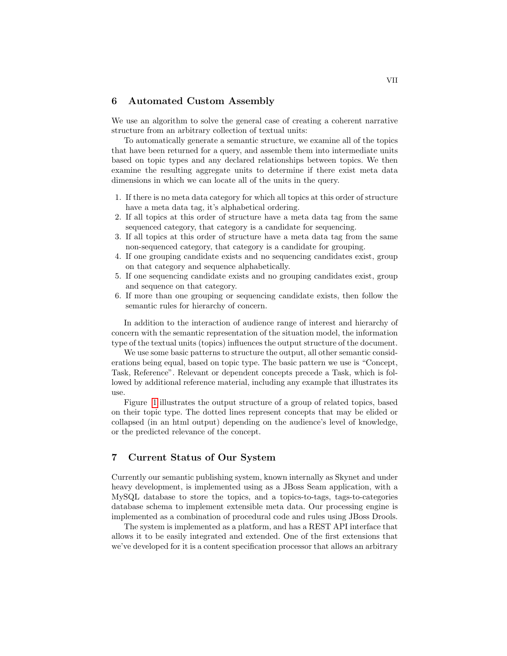#### 6 Automated Custom Assembly

We use an algorithm to solve the general case of creating a coherent narrative structure from an arbitrary collection of textual units:

To automatically generate a semantic structure, we examine all of the topics that have been returned for a query, and assemble them into intermediate units based on topic types and any declared relationships between topics. We then examine the resulting aggregate units to determine if there exist meta data dimensions in which we can locate all of the units in the query.

- 1. If there is no meta data category for which all topics at this order of structure have a meta data tag, it's alphabetical ordering.
- 2. If all topics at this order of structure have a meta data tag from the same sequenced category, that category is a candidate for sequencing.
- 3. If all topics at this order of structure have a meta data tag from the same non-sequenced category, that category is a candidate for grouping.
- 4. If one grouping candidate exists and no sequencing candidates exist, group on that category and sequence alphabetically.
- 5. If one sequencing candidate exists and no grouping candidates exist, group and sequence on that category.
- 6. If more than one grouping or sequencing candidate exists, then follow the semantic rules for hierarchy of concern.

In addition to the interaction of audience range of interest and hierarchy of concern with the semantic representation of the situation model, the information type of the textual units (topics) influences the output structure of the document.

We use some basic patterns to structure the output, all other semantic considerations being equal, based on topic type. The basic pattern we use is "Concept, Task, Reference". Relevant or dependent concepts precede a Task, which is followed by additional reference material, including any example that illustrates its use.

Figure [1](#page-7-0) illustrates the output structure of a group of related topics, based on their topic type. The dotted lines represent concepts that may be elided or collapsed (in an html output) depending on the audience's level of knowledge, or the predicted relevance of the concept.

# 7 Current Status of Our System

Currently our semantic publishing system, known internally as Skynet and under heavy development, is implemented using as a JBoss Seam application, with a MySQL database to store the topics, and a topics-to-tags, tags-to-categories database schema to implement extensible meta data. Our processing engine is implemented as a combination of procedural code and rules using JBoss Drools.

The system is implemented as a platform, and has a REST API interface that allows it to be easily integrated and extended. One of the first extensions that we've developed for it is a content specification processor that allows an arbitrary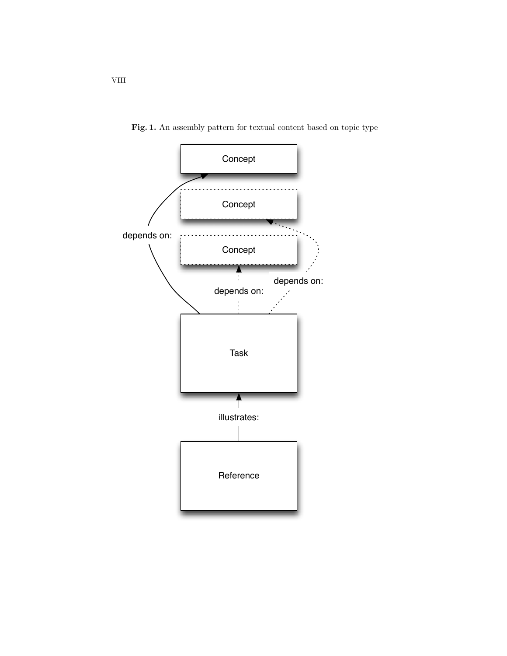

<span id="page-7-0"></span>Fig. 1. An assembly pattern for textual content based on topic type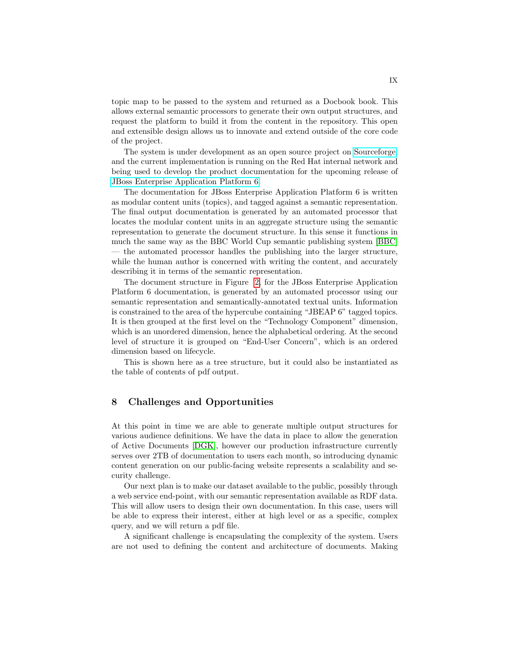topic map to be passed to the system and returned as a Docbook book. This allows external semantic processors to generate their own output structures, and request the platform to build it from the content in the repository. This open and extensible design allows us to innovate and extend outside of the core code of the project.

The system is under development as an open source project on [Sourceforge,](http://sourceforge.net/p/topicindex/home/Home/) and the current implementation is running on the Red Hat internal network and being used to develop the product documentation for the upcoming release of [JBoss Enterprise Application Platform 6.](http://docs.redhat.com/docs/en-US/JBoss_Enterprise_Application_Platform/6/html/Beta_Documentation/index.html)

The documentation for JBoss Enterprise Application Platform 6 is written as modular content units (topics), and tagged against a semantic representation. The final output documentation is generated by an automated processor that locates the modular content units in an aggregate structure using the semantic representation to generate the document structure. In this sense it functions in much the same way as the BBC World Cup semantic publishing system [\[BBC\]](#page-11-9) — the automated processor handles the publishing into the larger structure, while the human author is concerned with writing the content, and accurately describing it in terms of the semantic representation.

The document structure in Figure [2,](#page-9-0) for the JBoss Enterprise Application Platform 6 documentation, is generated by an automated processor using our semantic representation and semantically-annotated textual units. Information is constrained to the area of the hypercube containing "JBEAP 6" tagged topics. It is then grouped at the first level on the "Technology Component" dimension, which is an unordered dimension, hence the alphabetical ordering. At the second level of structure it is grouped on "End-User Concern", which is an ordered dimension based on lifecycle.

This is shown here as a tree structure, but it could also be instantiated as the table of contents of pdf output.

# 8 Challenges and Opportunities

At this point in time we are able to generate multiple output structures for various audience definitions. We have the data in place to allow the generation of Active Documents [\[DGK\]](#page-11-12), however our production infrastructure currently serves over 2TB of documentation to users each month, so introducing dynamic content generation on our public-facing website represents a scalability and security challenge.

Our next plan is to make our dataset available to the public, possibly through a web service end-point, with our semantic representation available as RDF data. This will allow users to design their own documentation. In this case, users will be able to express their interest, either at high level or as a specific, complex query, and we will return a pdf file.

A significant challenge is encapsulating the complexity of the system. Users are not used to defining the content and architecture of documents. Making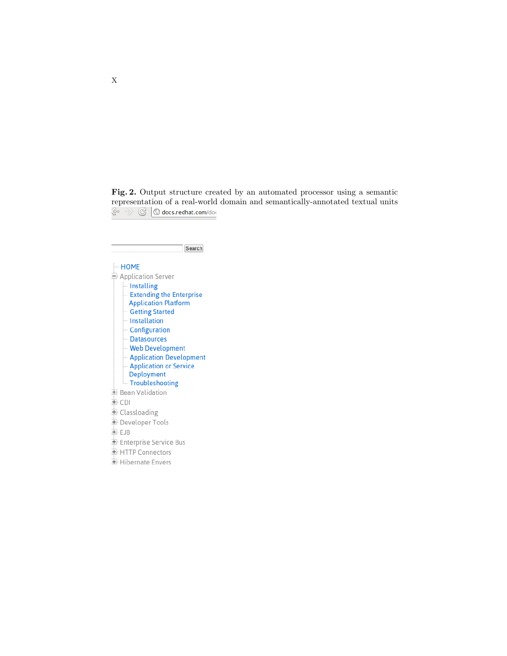<span id="page-9-0"></span>Fig. 2. Output structure created by an automated processor using a semantic representation of a real-world domain and semantically-annotated textual units  $\mathcal{L}_\infty$   $\mathcal{L}_\infty$  of  $\mathcal{L}_\infty$  docs.redhat.com/doc

| Search                                             |  |  |
|----------------------------------------------------|--|--|
| $-MOME$                                            |  |  |
| Application Server                                 |  |  |
| - Installing                                       |  |  |
| <b>Extending the Enterprise</b>                    |  |  |
| <b>Application Platform</b>                        |  |  |
| <b>Getting Started</b>                             |  |  |
| - Installation                                     |  |  |
| Configuration                                      |  |  |
| - Datasources                                      |  |  |
| <b>Web Development</b>                             |  |  |
| Application Development                            |  |  |
| <b>Application or Service</b><br><b>Deployment</b> |  |  |
| Troubleshooting                                    |  |  |
| E Bean Validation                                  |  |  |
| $+$ CDI                                            |  |  |
| <b>■ Classloading</b>                              |  |  |
| Developer Tools                                    |  |  |
| $+$ $F$ JB                                         |  |  |
| Enterprise Service Bus                             |  |  |
| + HTTP Connectors                                  |  |  |
| + Hibernate Envers                                 |  |  |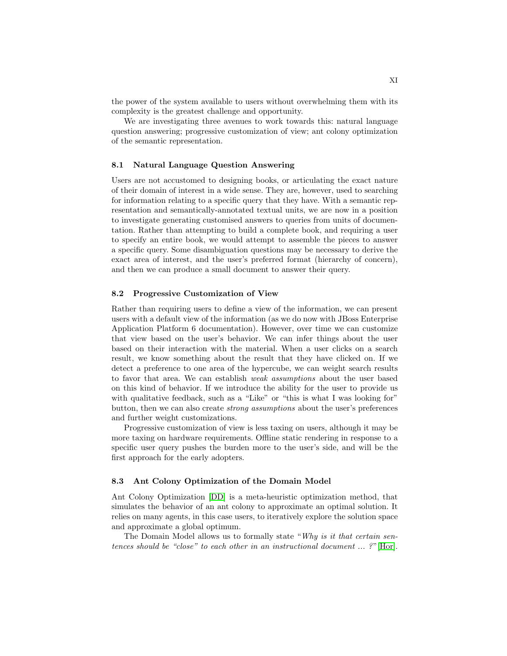the power of the system available to users without overwhelming them with its complexity is the greatest challenge and opportunity.

We are investigating three avenues to work towards this: natural language question answering; progressive customization of view; ant colony optimization of the semantic representation.

#### 8.1 Natural Language Question Answering

Users are not accustomed to designing books, or articulating the exact nature of their domain of interest in a wide sense. They are, however, used to searching for information relating to a specific query that they have. With a semantic representation and semantically-annotated textual units, we are now in a position to investigate generating customised answers to queries from units of documentation. Rather than attempting to build a complete book, and requiring a user to specify an entire book, we would attempt to assemble the pieces to answer a specific query. Some disambiguation questions may be necessary to derive the exact area of interest, and the user's preferred format (hierarchy of concern), and then we can produce a small document to answer their query.

#### 8.2 Progressive Customization of View

Rather than requiring users to define a view of the information, we can present users with a default view of the information (as we do now with JBoss Enterprise Application Platform 6 documentation). However, over time we can customize that view based on the user's behavior. We can infer things about the user based on their interaction with the material. When a user clicks on a search result, we know something about the result that they have clicked on. If we detect a preference to one area of the hypercube, we can weight search results to favor that area. We can establish weak assumptions about the user based on this kind of behavior. If we introduce the ability for the user to provide us with qualitative feedback, such as a "Like" or "this is what I was looking for" button, then we can also create strong assumptions about the user's preferences and further weight customizations.

Progressive customization of view is less taxing on users, although it may be more taxing on hardware requirements. Offline static rendering in response to a specific user query pushes the burden more to the user's side, and will be the first approach for the early adopters.

#### 8.3 Ant Colony Optimization of the Domain Model

Ant Colony Optimization [\[DD\]](#page-11-13) is a meta-heuristic optimization method, that simulates the behavior of an ant colony to approximate an optimal solution. It relies on many agents, in this case users, to iteratively explore the solution space and approximate a global optimum.

The Domain Model allows us to formally state "Why is it that certain sentences should be "close" to each other in an instructional document  $\ldots$  ?"[\[Hor\]](#page-11-4).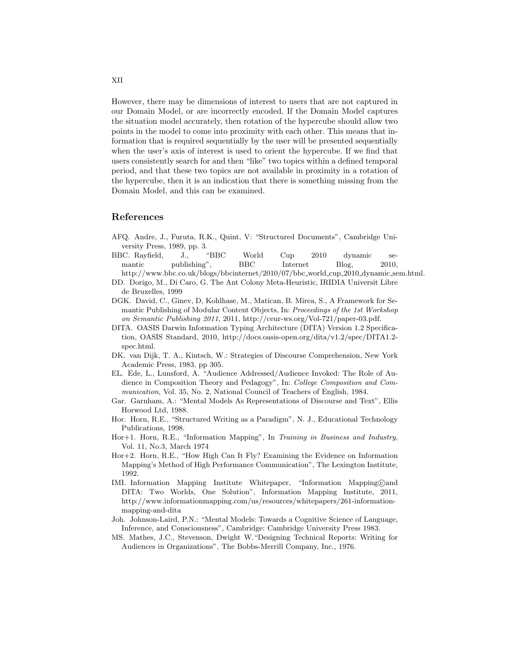However, there may be dimensions of interest to users that are not captured in our Domain Model, or are incorrectly encoded. If the Domain Model captures the situation model accurately, then rotation of the hypercube should allow two points in the model to come into proximity with each other. This means that information that is required sequentially by the user will be presented sequentially when the user's axis of interest is used to orient the hypercube. If we find that users consistently search for and then "like" two topics within a defined temporal period, and that these two topics are not available in proximity in a rotation of the hypercube, then it is an indication that there is something missing from the Domain Model, and this can be examined.

### References

- <span id="page-11-0"></span>AFQ. Andre, J., Furuta, R.K., Quint, V: "Structured Documents", Cambridge University Press, 1989, pp. 3.
- <span id="page-11-9"></span>BBC. Rayfield, J., "BBC World Cup 2010 dynamic semantic publishing", BBC Internet Blog, 2010, http://www.bbc.co.uk/blogs/bbcinternet/2010/07/bbc world cup 2010 dynamic sem.html.
- <span id="page-11-13"></span>DD. Dorigo, M., Di Caro, G. The Ant Colony Meta-Heuristic, IRIDIA Universit Libre de Bruxelles, 1999
- <span id="page-11-12"></span>DGK. David, C., Ginev, D, Kohlhase, M., Matican, B. Mirea, S., A Framework for Semantic Publishing of Modular Content Objects, In: Proceedings of the 1st Workshop on Semantic Publishing 2011, 2011, http://ceur-ws.org/Vol-721/paper-03.pdf.
- <span id="page-11-5"></span>DITA. OASIS Darwin Information Typing Architecture (DITA) Version 1.2 Specification, OASIS Standard, 2010, http://docs.oasis-open.org/dita/v1.2/spec/DITA1.2 spec.html.
- <span id="page-11-1"></span>DK. van Dijk, T. A., Kintsch, W.: Strategies of Discourse Comprehension, New York Academic Press, 1983, pp 305.
- <span id="page-11-11"></span>EL. Ede, L., Lunsford, A. "Audience Addressed/Audience Invoked: The Role of Audience in Composition Theory and Pedagogy", In: College Composition and Communication, Vol. 35, No. 2, National Council of Teachers of English, 1984.
- <span id="page-11-2"></span>Gar. Garnham, A.: "Mental Models As Representations of Discourse and Text", Ellis Horwood Ltd, 1988.
- <span id="page-11-4"></span>Hor. Horn, R.E., "Structured Writing as a Paradigm", N. J., Educational Technology Publications, 1998.
- <span id="page-11-6"></span>Hor+1. Horn, R.E., "Information Mapping", In Training in Business and Industry, Vol. 11, No.3, March 1974
- <span id="page-11-7"></span>Hor+2. Horn, R.E., "How High Can It Fly? Examining the Evidence on Information Mapping's Method of High Performance Communication", The Lexington Institute, 1992.
- <span id="page-11-8"></span>IMI. Information Mapping Institute Whitepaper, "Information Mapping©and DITA: Two Worlds, One Solution", Information Mapping Institute, 2011, http://www.informationmapping.com/us/resources/whitepapers/261-informationmapping-and-dita
- <span id="page-11-3"></span>Joh. Johnson-Laird, P.N.: "Mental Models: Towards a Cognitive Science of Language, Inference, and Consciousness", Cambridge: Cambridge University Press 1983.
- <span id="page-11-10"></span>MS. Mathes, J.C., Stevenson, Dwight W."Designing Technical Reports: Writing for Audiences in Organizations", The Bobbs-Merrill Company, Inc., 1976.

XII